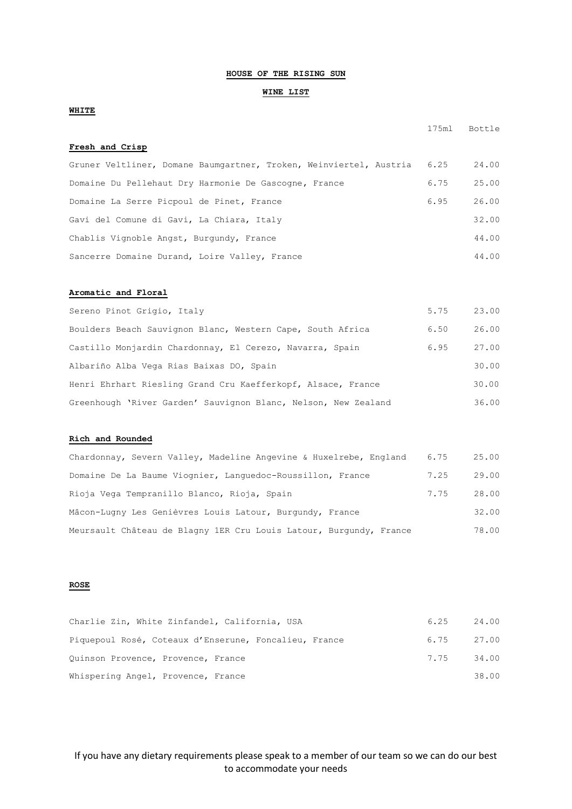## **HOUSE OF THE RISING SUN**

#### **WINE LIST**

# **WHITE**

**Fresh and Crisp** 

175ml Bottle

| Gruner Veltliner, Domane Baumgartner, Troken, Weinviertel, Austria | 6.25 | 24.00 |
|--------------------------------------------------------------------|------|-------|
| Domaine Du Pellehaut Dry Harmonie De Gascogne, France              | 6.75 | 25.00 |
| Domaine La Serre Picpoul de Pinet, France                          | 6.95 | 26.00 |
| Gavi del Comune di Gavi, La Chiara, Italy                          |      | 32.00 |
| Chablis Vignoble Angst, Burgundy, France                           |      | 44.00 |
| Sancerre Domaine Durand, Loire Valley, France                      |      | 44.00 |

#### **Aromatic and Floral**

| Sereno Pinot Grigio, Italy                                     | 5.75 | 23.00 |
|----------------------------------------------------------------|------|-------|
| Boulders Beach Sauvignon Blanc, Western Cape, South Africa     | 6.50 | 26.00 |
| Castillo Monjardin Chardonnay, El Cerezo, Navarra, Spain       | 6.95 | 27.00 |
| Albariño Alba Vega Rias Baixas DO, Spain                       |      | 30.00 |
| Henri Ehrhart Riesling Grand Cru Kaefferkopf, Alsace, France   |      | 30.00 |
| Greenhough 'River Garden' Sauvignon Blanc, Nelson, New Zealand |      | 36.00 |

#### **Rich and Rounded**

| Chardonnay, Severn Valley, Madeline Angevine & Huxelrebe, England  | 6.75 | 25.00 |
|--------------------------------------------------------------------|------|-------|
| Domaine De La Baume Viognier, Languedoc-Roussillon, France         | 7.25 | 29.00 |
| Rioja Vega Tempranillo Blanco, Rioja, Spain                        | 7.75 | 28.00 |
| Mâcon-Lugny Les Genièvres Louis Latour, Burgundy, France           |      | 32.00 |
| Meursault Château de Blagny 1ER Cru Louis Latour, Burgundy, France |      | 78.00 |

### **ROSE**

| Charlie Zin, White Zinfandel, California, USA         | 6.25       | 24.00 |
|-------------------------------------------------------|------------|-------|
| Piquepoul Rosé, Coteaux d'Enserune, Foncalieu, France | 6.75 27.00 |       |
| Quinson Provence, Provence, France                    | 7.75 34.00 |       |
| Whispering Angel, Provence, France                    |            | 38.00 |